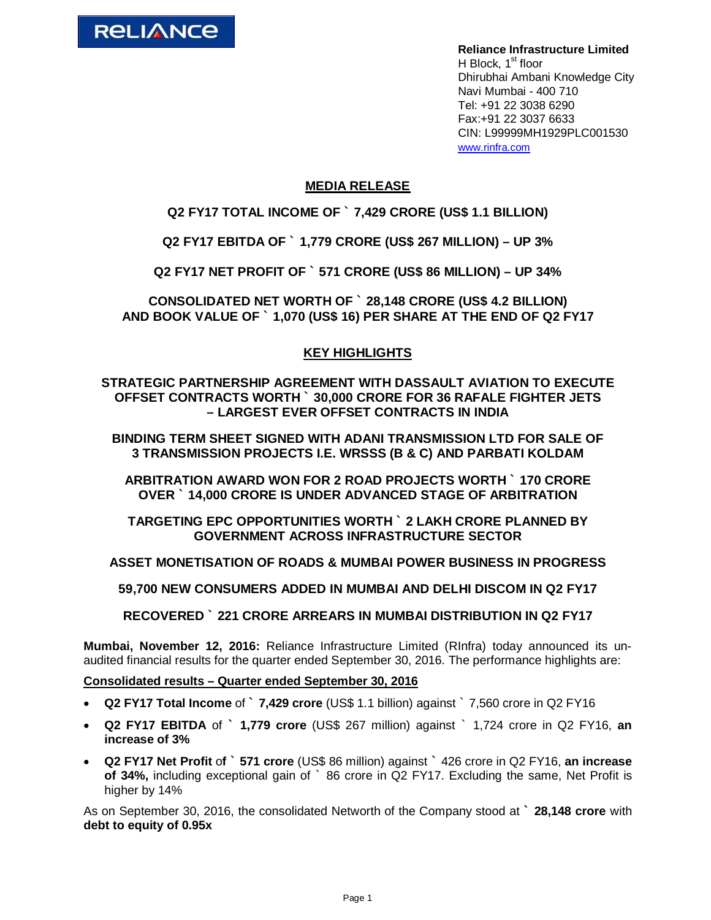

**Reliance Infrastructure Limited** H Block,  $1<sup>st</sup>$  floor Dhirubhai Ambani Knowledge City Navi Mumbai - 400 710 Tel: +91 22 3038 6290 Fax:+91 22 3037 6633 CIN: L99999MH1929PLC001530 www.rinfra.com

# **MEDIA RELEASE**

**Q2 FY17 TOTAL INCOME OF ` 7,429 CRORE (US\$ 1.1 BILLION)**

**Q2 FY17 EBITDA OF ` 1,779 CRORE (US\$ 267 MILLION) – UP 3%**

**Q2 FY17 NET PROFIT OF ` 571 CRORE (US\$ 86 MILLION) – UP 34%**

**CONSOLIDATED NET WORTH OF ` 28,148 CRORE (US\$ 4.2 BILLION) AND BOOK VALUE OF ` 1,070 (US\$ 16) PER SHARE AT THE END OF Q2 FY17**

# **KEY HIGHLIGHTS**

**STRATEGIC PARTNERSHIP AGREEMENT WITH DASSAULT AVIATION TO EXECUTE OFFSET CONTRACTS WORTH ` 30,000 CRORE FOR 36 RAFALE FIGHTER JETS – LARGEST EVER OFFSET CONTRACTS IN INDIA**

**BINDING TERM SHEET SIGNED WITH ADANI TRANSMISSION LTD FOR SALE OF 3 TRANSMISSION PROJECTS I.E. WRSSS (B & C) AND PARBATI KOLDAM** 

**ARBITRATION AWARD WON FOR 2 ROAD PROJECTS WORTH ` 170 CRORE OVER ` 14,000 CRORE IS UNDER ADVANCED STAGE OF ARBITRATION** 

**TARGETING EPC OPPORTUNITIES WORTH ` 2 LAKH CRORE PLANNED BY GOVERNMENT ACROSS INFRASTRUCTURE SECTOR**

**ASSET MONETISATION OF ROADS & MUMBAI POWER BUSINESS IN PROGRESS**

**59,700 NEW CONSUMERS ADDED IN MUMBAI AND DELHI DISCOM IN Q2 FY17**

**RECOVERED ` 221 CRORE ARREARS IN MUMBAI DISTRIBUTION IN Q2 FY17**

**Mumbai, November 12, 2016:** Reliance Infrastructure Limited (RInfra) today announced its unaudited financial results for the quarter ended September 30, 2016. The performance highlights are:

**Consolidated results – Quarter ended September 30, 2016**

- **Q2 FY17 Total Income** of **` 7,429 crore** (US\$ 1.1 billion) against ` 7,560 crore in Q2 FY16
- **Q2 FY17 EBITDA** of **` 1,779 crore** (US\$ 267 million) against ` 1,724 crore in Q2 FY16, **an increase of 3%**
- **Q2 FY17 Net Profit** o**f ` 571 crore** (US\$ 86 million) against **`** 426 crore in Q2 FY16, **an increase of 34%,** including exceptional gain of ` 86 crore in Q2 FY17. Excluding the same, Net Profit is higher by 14%

As on September 30, 2016, the consolidated Networth of the Company stood at **` 28,148 crore** with **debt to equity of 0.95x**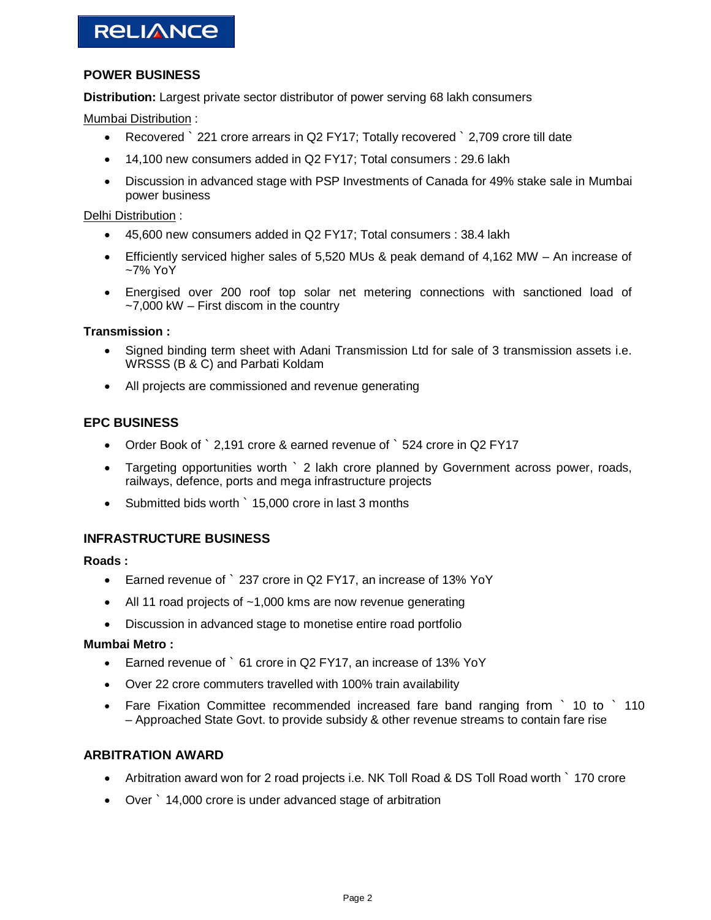# **POWER BUSINESS**

**Distribution:** Largest private sector distributor of power serving 68 lakh consumers

Mumbai Distribution :

- Recovered ` 221 crore arrears in Q2 FY17; Totally recovered ` 2,709 crore till date
- 14,100 new consumers added in Q2 FY17; Total consumers : 29.6 lakh
- Discussion in advanced stage with PSP Investments of Canada for 49% stake sale in Mumbai power business

Delhi Distribution :

- 45,600 new consumers added in Q2 FY17; Total consumers : 38.4 lakh
- Efficiently serviced higher sales of 5,520 MUs & peak demand of 4,162 MW An increase of ~7% YoY
- Energised over 200 roof top solar net metering connections with sanctioned load of  $-7,000$  kW  $-$  First discom in the country

### **Transmission :**

- Signed binding term sheet with Adani Transmission Ltd for sale of 3 transmission assets i.e. WRSSS (B & C) and Parbati Koldam
- All projects are commissioned and revenue generating

## **EPC BUSINESS**

- Order Book of ` 2,191 crore & earned revenue of ` 524 crore in Q2 FY17
- Targeting opportunities worth ` 2 lakh crore planned by Government across power, roads, railways, defence, ports and mega infrastructure projects
- Submitted bids worth ` 15,000 crore in last 3 months

## **INFRASTRUCTURE BUSINESS**

#### **Roads :**

- Earned revenue of ` 237 crore in Q2 FY17, an increase of 13% YoY
- All 11 road projects of ~1,000 kms are now revenue generating
- Discussion in advanced stage to monetise entire road portfolio

#### **Mumbai Metro :**

- Earned revenue of ` 61 crore in Q2 FY17, an increase of 13% YoY
- Over 22 crore commuters travelled with 100% train availability
- Fare Fixation Committee recommended increased fare band ranging from ` 10 to ` 110 – Approached State Govt. to provide subsidy & other revenue streams to contain fare rise

## **ARBITRATION AWARD**

- Arbitration award won for 2 road projects i.e. NK Toll Road & DS Toll Road worth ` 170 crore
- Over ` 14,000 crore is under advanced stage of arbitration